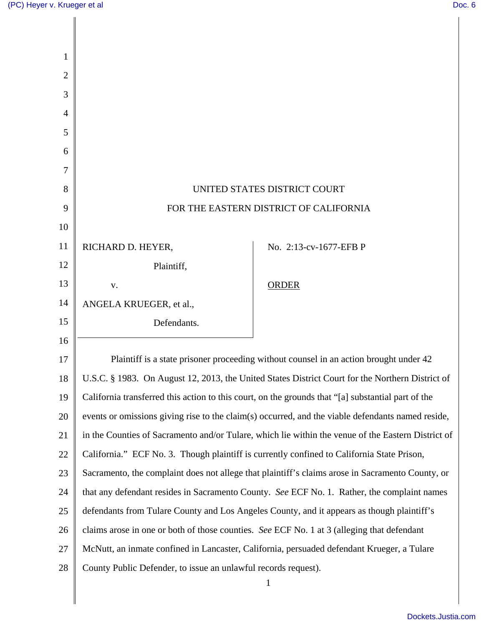| 1              |                                                                                                    |                                                                                                  |
|----------------|----------------------------------------------------------------------------------------------------|--------------------------------------------------------------------------------------------------|
| $\overline{c}$ |                                                                                                    |                                                                                                  |
| 3              |                                                                                                    |                                                                                                  |
| 4              |                                                                                                    |                                                                                                  |
| 5              |                                                                                                    |                                                                                                  |
| 6              |                                                                                                    |                                                                                                  |
| 7              |                                                                                                    |                                                                                                  |
| 8              | UNITED STATES DISTRICT COURT                                                                       |                                                                                                  |
| 9              | FOR THE EASTERN DISTRICT OF CALIFORNIA                                                             |                                                                                                  |
| 10             |                                                                                                    |                                                                                                  |
| 11             | RICHARD D. HEYER,                                                                                  | No. 2:13-cv-1677-EFB P                                                                           |
| 12             | Plaintiff,                                                                                         |                                                                                                  |
| 13             | V.                                                                                                 | <b>ORDER</b>                                                                                     |
| 14             | ANGELA KRUEGER, et al.,                                                                            |                                                                                                  |
| 15             | Defendants.                                                                                        |                                                                                                  |
| 16             |                                                                                                    |                                                                                                  |
| 17             | Plaintiff is a state prisoner proceeding without counsel in an action brought under 42             |                                                                                                  |
| 18             | U.S.C. § 1983. On August 12, 2013, the United States District Court for the Northern District of   |                                                                                                  |
| 19             | California transferred this action to this court, on the grounds that "[a] substantial part of the |                                                                                                  |
| 20             | events or omissions giving rise to the claim(s) occurred, and the viable defendants named reside,  |                                                                                                  |
| 21             | in the Counties of Sacramento and/or Tulare, which lie within the venue of the Eastern District of |                                                                                                  |
| 22             |                                                                                                    | California." ECF No. 3. Though plaintiff is currently confined to California State Prison,       |
| 23             |                                                                                                    | Sacramento, the complaint does not allege that plaintiff's claims arose in Sacramento County, or |
| 24             | that any defendant resides in Sacramento County. See ECF No. 1. Rather, the complaint names        |                                                                                                  |
| 25             | defendants from Tulare County and Los Angeles County, and it appears as though plaintiff's         |                                                                                                  |
| 26             | claims arose in one or both of those counties. See ECF No. 1 at 3 (alleging that defendant         |                                                                                                  |
| 27             | McNutt, an inmate confined in Lancaster, California, persuaded defendant Krueger, a Tulare         |                                                                                                  |
| 28             | County Public Defender, to issue an unlawful records request).                                     |                                                                                                  |
|                |                                                                                                    | $\mathbf{1}$                                                                                     |